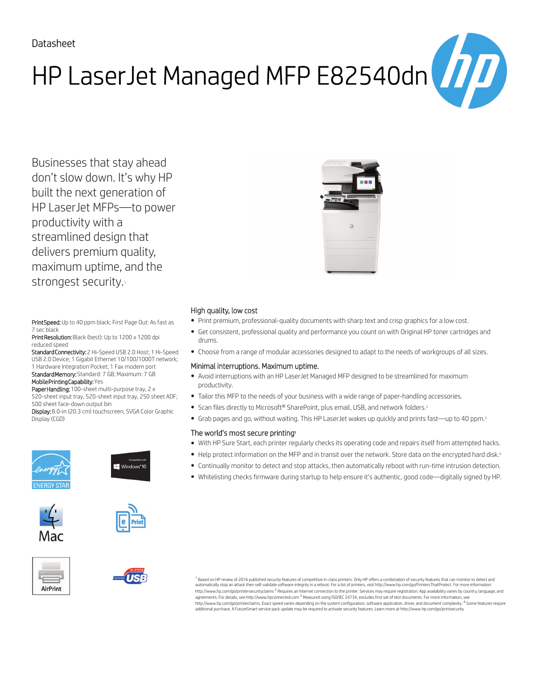# HP LaserJet Managed MFP E82540dn $\begin{pmatrix} \boldsymbol{\eta} \boldsymbol{I} \boldsymbol{I} \end{pmatrix}$

Businesses that stay ahead don't slow down. It's why HP built the next generation of HP LaserJet MFPs—to power productivity with a streamlined design that delivers premium quality, maximum uptime, and the strongest security.

Print Speed: Up to 40 ppm black; First Page Out: As fast as 7 sec black

Print Resolution: Black (best): Up to 1200 x 1200 dpi reduced speed

Standard Connectivity: 2 Hi-Speed USB 2.0 Host; 1 Hi-Speed USB 2.0 Device; 1 Gigabit Ethernet 10/100/1000T network; 1 Hardware Integration Pocket; 1 Fax modem port Standard Memory: Standard: 7 GB; Maximum: 7 GB

#### Mobile Printing Capability: Yes

Paper Handling: 100-sheet multi-purpose tray, 2 x 520-sheet input tray, 520-sheet input tray, 250 sheet ADF; 500 sheet face-down output bin

Display: 8.0-in (20.3 cm) touchscreen, SVGA Color Graphic Display (CGD)















### High quality, low cost

- Print premium, professional-quality documents with sharp text and crisp graphics for a low cost.
- Get consistent, professional quality and performance you count on with Original HP toner cartridges and drums.
- Choose from a range of modular accessories designed to adapt to the needs of workgroups of all sizes.

### Minimal interruptions. Maximum uptime.

- Avoid interruptions with an HP LaserJet Managed MFP designed to be streamlined for maximum productivity.
- Tailor this MFP to the needs of your business with a wide range of paper-handling accessories.
- Scan files directly to Microsoft® SharePoint, plus email, USB, and network folders.<sup>2</sup>
- Grab pages and go, without waiting. This HP LaserJet wakes up quickly and prints fast—up to 40 ppm.<sup>3</sup>

### The world's most secure printing<sup>1</sup>

- With HP Sure Start, each printer regularly checks its operating code and repairs itself from attempted hacks.
- Help protect information on the MFP and in transit over the network. Store data on the encrypted hard disk.<sup>4</sup>
- Continually monitor to detect and stop attacks, then automatically reboot with run-time intrusion detection.
- Whitelisting checks firmware during startup to help ensure it's authentic, good code—digitally signed by HP.

 $^{\rm 1}$  Based on HP review of 2016 published security features of competitive in-class printers. Only HP offers a combination of security features that can monitor to detect and automatically stop an attack then self-validate software integrity in a reboot. For a list of printers, visit http://www.hp.com/go/PrintersThatProtect. For more information:<br>http://www.hp.com/go/printersecurityclaims <sup>2</sup> R agreements. For details, see http://www.hpconnected.com <sup>3</sup> Measured using ISO/IEC 24734, excludes first set of test documents. For more information, see http://www.hp.com/go/printerclaims. Exact speed varies depending on the system configuration, software application, driver, and document complexity. <sup>4</sup> Some features require<br>additional purchase. A FutureSmart service pack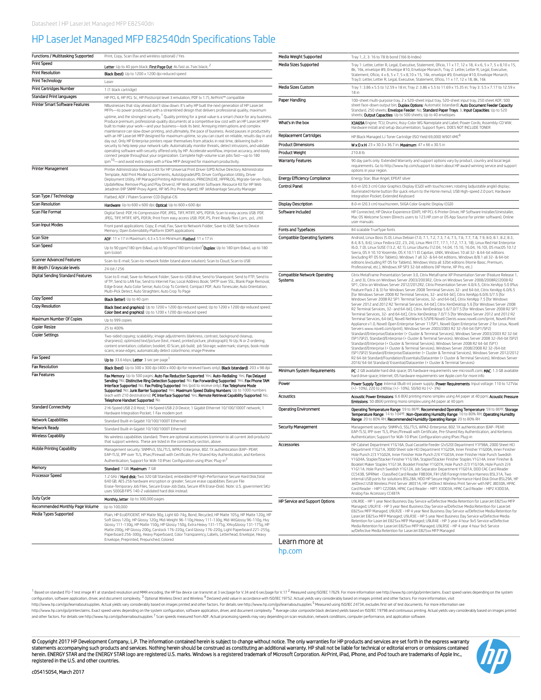## HP LaserJet Managed MFP E82540dn Specifications Table

| Functions / Multitasking Supported             | Print, Copy, Scan (fax and wireless optional) / Yes                                                                                                                                                                                                                                                                                                                                                                                                                                                                                                                                                                                                                                                                                                                                                                                                                                                                                                                                                                                                                                                                                                                                   | Media Weight Supported                         | Tray 1, 2, 3: 16 to 78 lb bond (166 lb Index)                                                                                                                                                                                                                                                                                                                                                                          |
|------------------------------------------------|---------------------------------------------------------------------------------------------------------------------------------------------------------------------------------------------------------------------------------------------------------------------------------------------------------------------------------------------------------------------------------------------------------------------------------------------------------------------------------------------------------------------------------------------------------------------------------------------------------------------------------------------------------------------------------------------------------------------------------------------------------------------------------------------------------------------------------------------------------------------------------------------------------------------------------------------------------------------------------------------------------------------------------------------------------------------------------------------------------------------------------------------------------------------------------------|------------------------------------------------|------------------------------------------------------------------------------------------------------------------------------------------------------------------------------------------------------------------------------------------------------------------------------------------------------------------------------------------------------------------------------------------------------------------------|
| <b>Print Speed</b>                             | Letter: Up to 40 ppm black; First Page Out: As fast as 7 sec black; 2                                                                                                                                                                                                                                                                                                                                                                                                                                                                                                                                                                                                                                                                                                                                                                                                                                                                                                                                                                                                                                                                                                                 | Media Sizes Supported                          | Tray 1: Letter, Letter R, Legal, Executive, Statement, Oficio, 11 x 17, 12 x 18, 4 x 6, 5 x 7, 5 x 8, 10 x 15,                                                                                                                                                                                                                                                                                                         |
| <b>Print Resolution</b>                        | Black (best): Up to 1200 x 1200 dpi reduced speed                                                                                                                                                                                                                                                                                                                                                                                                                                                                                                                                                                                                                                                                                                                                                                                                                                                                                                                                                                                                                                                                                                                                     |                                                | 8k, 16k, envelope #9, Envelope #10, Envelope Monarch, Tray 2: Letter, Letter R, Legal, Executive,<br>Statement, Oficio, 4 x 6, 5 x 7, 5 x 8, 10 x 15, 16k, envelope #9, Envelope #10, Envelope Monarch;                                                                                                                                                                                                                |
| <b>Print Technology</b>                        | Laser                                                                                                                                                                                                                                                                                                                                                                                                                                                                                                                                                                                                                                                                                                                                                                                                                                                                                                                                                                                                                                                                                                                                                                                 |                                                | Tray3: Letter, Letter R, Legal, Executive, Statement, Oficio, 11 x 17, 12 x 18, 8k, 16k                                                                                                                                                                                                                                                                                                                                |
| <b>Print Cartridges Number</b>                 | 1 (1 black cartridge)                                                                                                                                                                                                                                                                                                                                                                                                                                                                                                                                                                                                                                                                                                                                                                                                                                                                                                                                                                                                                                                                                                                                                                 | Media Sizes Custom                             | Tray 1: 3.86 x 5.5 to 12.59 x 18 in; Tray 2: 3.86 x 5.5 to 11.69 x 15.35 in; Tray 3: 5.5 x 7.17 to 12.59 x                                                                                                                                                                                                                                                                                                             |
| <b>Standard Print languages</b>                | HP PCL 6, HP PCL 5c, HP Postscript level 3 emulation, PDF (v 1.7), AirPrint™ compatible                                                                                                                                                                                                                                                                                                                                                                                                                                                                                                                                                                                                                                                                                                                                                                                                                                                                                                                                                                                                                                                                                               |                                                | 18 in                                                                                                                                                                                                                                                                                                                                                                                                                  |
| <b>Printer Smart Software Features</b>         | NBusinesses that stay ahead don't slow down. It's why HP built the next generation of HP Laser Jet<br>MFPs-to power productivity with a streamlined design that delivers professional quality, maximum<br>uptime, and the strongest security. <sup>1</sup> Quality printing for a great value is a smart choice for any business.<br>Produce premium, professional-quality documents at a competitive low cost with an HP Laser Jet MFP<br>built to make your work-and your business-look its best. Annoying interruptions and complex<br>maintenance can slow down printing, and ultimately, the pace of business. Avoid pauses in productivity<br>with an HP LaserJet MFP designed for maximum uptime, so you can count on reliable, results day in and<br>day out. Only HP Enterprise printers repair themselves from attacks in real time, delivering built-in<br>security to help keep your network safe. Automatically monitor threats, detect intrusions, and validate<br>operating software with security offered only by HP. Accelerate workflow, improve accuracy, and easily<br>connect people throughout your organization. Complete high-volume scan jobs fast-up to 180 | Paper Handling                                 | 100-sheet multi-purpose tray, 2 x 520-sheet input tray, 520-sheet input tray, 250 sheet ADF; 500<br>sheet face-down output bin; Duplex Options: Automatic (standard); Auto Document Feeder Capacity:<br>Standard, 250 sheets; Envelope Feeder: No; Standard Paper Trays: 3; Input Capacities: Up to 520<br>sheets; Output Capacities: Up to 500 sheets; Up to 40 envelopes                                             |
|                                                |                                                                                                                                                                                                                                                                                                                                                                                                                                                                                                                                                                                                                                                                                                                                                                                                                                                                                                                                                                                                                                                                                                                                                                                       | What's in the box                              | X3A69A Engine; TCU; Drums; Assy-Color WG Nameplate and Label; Power Cords; Assembly-CD WW;<br>Hardware install and setup documentation; Support flyers. DOES NOT INCLUDE TONER                                                                                                                                                                                                                                         |
|                                                |                                                                                                                                                                                                                                                                                                                                                                                                                                                                                                                                                                                                                                                                                                                                                                                                                                                                                                                                                                                                                                                                                                                                                                                       | <b>Replacement Cartridges</b>                  | HP Black Managed LJ Toner Cartridge (ISO Yield 69,000) W9014MC <sup>6</sup>                                                                                                                                                                                                                                                                                                                                            |
|                                                |                                                                                                                                                                                                                                                                                                                                                                                                                                                                                                                                                                                                                                                                                                                                                                                                                                                                                                                                                                                                                                                                                                                                                                                       | <b>Product Dimensions</b>                      | <b>WxDxH:</b> 23 x 30.3 x 36.7 in; <b>Maximum:</b> $47 \times 66 \times 30.5$ in                                                                                                                                                                                                                                                                                                                                       |
|                                                |                                                                                                                                                                                                                                                                                                                                                                                                                                                                                                                                                                                                                                                                                                                                                                                                                                                                                                                                                                                                                                                                                                                                                                                       | <b>Product Weight</b>                          | 210.8 lb                                                                                                                                                                                                                                                                                                                                                                                                               |
|                                                | ipm <sup>10</sup> -and avoid extra steps with a Flow MFP designed for maximum productivity.                                                                                                                                                                                                                                                                                                                                                                                                                                                                                                                                                                                                                                                                                                                                                                                                                                                                                                                                                                                                                                                                                           | <b>Warranty Features</b>                       | 90 day parts only. Extended Warranty and support options vary by product, country and local legal                                                                                                                                                                                                                                                                                                                      |
| <b>Printer Management</b>                      | Printer Administrator Resource Kit for HP Universal Print Driver (UPD Active Directory Administrator                                                                                                                                                                                                                                                                                                                                                                                                                                                                                                                                                                                                                                                                                                                                                                                                                                                                                                                                                                                                                                                                                  |                                                | requirements. Go to http://www.hp.com/support to learn about HP award winning service and support<br>options in your region.                                                                                                                                                                                                                                                                                           |
|                                                | Template, Add Print Model to Comments, AutoUpgradeUPD, Driver Configuration Utility, Driver<br>Deployment Utility, HP Managed Printing Administration, PRNCON.EXE, HPPRLOG, Migrate-Server-Tools,                                                                                                                                                                                                                                                                                                                                                                                                                                                                                                                                                                                                                                                                                                                                                                                                                                                                                                                                                                                     | <b>Energy Efficiency Compliance</b>            | Energy Star; Blue Angel; EPEAT silver                                                                                                                                                                                                                                                                                                                                                                                  |
|                                                | UpdateNow, Remove Plug and Play Drivers); HP Web Jetadmin Software; Resource Kit for HP Web                                                                                                                                                                                                                                                                                                                                                                                                                                                                                                                                                                                                                                                                                                                                                                                                                                                                                                                                                                                                                                                                                           | <b>Control Panel</b>                           | 8.0-in (20.3 cm) Color Graphics Display (CGD) with touchscreen; rotating (adjustable angle) display;                                                                                                                                                                                                                                                                                                                   |
| Scan Type / Technology                         | Jetadmin (HP SNMP Proxy Agent, HP WS Pro Proxy Agent); HP JetAdvantage Security Manager                                                                                                                                                                                                                                                                                                                                                                                                                                                                                                                                                                                                                                                                                                                                                                                                                                                                                                                                                                                                                                                                                               |                                                | illuminated Home button (for quick return to the Home menu); USB High-speed 2.0 port; Hardware<br>Integration Pocket; Extended Keyboard                                                                                                                                                                                                                                                                                |
| <b>Scan Resolution</b>                         | Flatbed, ADF / Platen Scanner CCD Digital-CIS<br>Hardware: Up to 600 x 600 dpi; Optical: Up to 600 x 600 dpi                                                                                                                                                                                                                                                                                                                                                                                                                                                                                                                                                                                                                                                                                                                                                                                                                                                                                                                                                                                                                                                                          | <b>Display Description</b>                     | 8.0-in (20.3 cm) touchscreen, SVGA Color Graphic Display (CGD)                                                                                                                                                                                                                                                                                                                                                         |
| <b>Scan File Format</b>                        |                                                                                                                                                                                                                                                                                                                                                                                                                                                                                                                                                                                                                                                                                                                                                                                                                                                                                                                                                                                                                                                                                                                                                                                       | Software Included                              | HP Connected, HP Device Experience (DXP), HP PCL 6 Printer Driver, HP Software Installer/Uninstaller,                                                                                                                                                                                                                                                                                                                  |
| Scan Input Modes                               | Digital Send: PDF, Hi-Compression PDF, JPEG, TIFF, MTIFF, XPS, PDF/A; Scan to easy access USB: PDF,<br>JPEG, TIFF, MTIFF, XPS, PDF/A; Print from easy access USB: PDF, PS, Print Ready files (.prn, .pcl, .cht)<br>Front panel applications: Copy; E-mail; Fax; Save to Network Folder; Save to USB; Save to Device                                                                                                                                                                                                                                                                                                                                                                                                                                                                                                                                                                                                                                                                                                                                                                                                                                                                   |                                                | Mac OS Welcome Screen (Directs users to 123.HP.com or OS App Source for printer software), Online<br>user manuals                                                                                                                                                                                                                                                                                                      |
|                                                | Memory; Open Extensibility Platform (OXP) applications                                                                                                                                                                                                                                                                                                                                                                                                                                                                                                                                                                                                                                                                                                                                                                                                                                                                                                                                                                                                                                                                                                                                | Fonts and Typefaces                            | 84 scalable TrueType fonts                                                                                                                                                                                                                                                                                                                                                                                             |
| Scan Size                                      | ADF: $11 \times 17$ in Maximum; $4.3 \times 5.5$ in Minimum; Flatbed: $11 \times 17$ in                                                                                                                                                                                                                                                                                                                                                                                                                                                                                                                                                                                                                                                                                                                                                                                                                                                                                                                                                                                                                                                                                               | <b>Compatible Operating Systems</b>            | Android, Linux Boss (5.0), Linux Debian (7.0, 7.1, 7.2, 7.3, 7.4, 7.5, 7.6, 7.7, 7.8, 7.9, 8.0, 8.1, 8.2, 8.3,                                                                                                                                                                                                                                                                                                         |
| Scan Speed                                     | Up to 90 ppm/180 ipm (b&w), up to 90 ppm/180 ipm (color) <b>Duplex:</b> Up to 180 ipm (b&w), up to 180<br>ipm (color)                                                                                                                                                                                                                                                                                                                                                                                                                                                                                                                                                                                                                                                                                                                                                                                                                                                                                                                                                                                                                                                                 |                                                | 8.4, 8.5, 8.6), Linux Fedora (22, 23, 24), Linux Mint (17, 17.1, 17.2, 17.3, 18), Linux Red Hat Enterprise<br>(6.0, 7.0), Linux SUSE (13.2, 42.1), Linux Ubuntu (12.04, 14.04, 15.10, 16.04, 16.10), OS macOS 10.12<br>Sierra, OS X 10.10 Yosemite, OS X 10.11 El Capitan, UNIX, Windows 10 all 32- & 64-bit editions                                                                                                  |
| <b>Scanner Advanced Features</b>               | Scan-to-E-mail; Scan-to-network folder (stand alone solution); Scan to Cloud; Scan to USB                                                                                                                                                                                                                                                                                                                                                                                                                                                                                                                                                                                                                                                                                                                                                                                                                                                                                                                                                                                                                                                                                             |                                                | (excluding RT OS for Tablets), Windows 7 all 32- & 64-bit editions, Windows 8/8.1 all 32- & 64-bit<br>editions (excluding RT OS for Tablets), Windows Vista all 32bit editions (Home Basic, Premium,                                                                                                                                                                                                                   |
| Bit depth / Grayscale levels                   | 24-bit / 256                                                                                                                                                                                                                                                                                                                                                                                                                                                                                                                                                                                                                                                                                                                                                                                                                                                                                                                                                                                                                                                                                                                                                                          |                                                | Professional, etc.), Windows XP SP3 32-bit editions (XP Home, XP Pro, etc.)                                                                                                                                                                                                                                                                                                                                            |
| <b>Digital Sending Standard Features</b>       | Scan to E-mail; Save-to-Network Folder; Save-to-USB drive; Send to Sharepoint; Send to FTP; Send to<br>sFTP; Send to LAN Fax; Send to Internet Fax; Local Address Book; SMTP over SSL; Blank Page Removal;<br>Edge Erase; Auto Color Sense; Auto Crop To Content; Compact PDF; Auto Tonescale; Auto Orientation;<br>Multi-Pick Detect; Auto Straighten; Auto Crop To Page                                                                                                                                                                                                                                                                                                                                                                                                                                                                                                                                                                                                                                                                                                                                                                                                             | <b>Compatible Network Operating</b><br>Systems | Citrix MetaFrame Presentation Server 3.0, Citrix MetaFrame XP Presentation Server (Feature Release 1<br>2, and 3), Citrix on Windows Server 2003/2003R2, Citrix on Windows Server 2008/2008R2/2008 R2<br>SP1, Citrix on Windows Server 2012/2012R2, Citrix Presentation Server 4.0/4.5, Citrix XenApp 5.0 (Plus<br>Feature Pack 2 & 3) for Windows Server 2008 Terminal Services 32- and 64-bit, Citrix XenApp 6.0/6.5 |
| <b>Copy Speed</b>                              | <b>Black (letter):</b> Up to 40 cpm                                                                                                                                                                                                                                                                                                                                                                                                                                                                                                                                                                                                                                                                                                                                                                                                                                                                                                                                                                                                                                                                                                                                                   |                                                | [for Windows Server 2008 R2 Terminal Services, 32- and 64-bit], Citrix XenApp 6.0/6.5/7.5 [for<br>Windows Server 2008 R2 SP1 Terminal Services, 32- and 64-bit], Citrix XenApp 7.5 [for Windows                                                                                                                                                                                                                        |
| <b>Copy Resolution</b>                         | Black (text and graphics): Up to 1200 x 1200 dpi reduced speed; Up to 1200 x 1200 dpi reduced speed;                                                                                                                                                                                                                                                                                                                                                                                                                                                                                                                                                                                                                                                                                                                                                                                                                                                                                                                                                                                                                                                                                  |                                                | Server 2012 and 2012 R2 Terminal Services, 64-bit], Citrix XenDesktop 5.6 [for Windows Server 2008<br>R2 Terminal Services, 32- and 64-bit], Citrix XenDesktop 5.6/7.0/7.5 [for Windows Server 2008 R2 SP1                                                                                                                                                                                                             |
|                                                | Color (text and graphics): Up to 1200 x 1200 dpi reduced speed                                                                                                                                                                                                                                                                                                                                                                                                                                                                                                                                                                                                                                                                                                                                                                                                                                                                                                                                                                                                                                                                                                                        |                                                | Terminal Services, 32- and 64-bit], Citrix XenDesktop 7.0/7.5 [for Windows Server 2012 and 2012 R2                                                                                                                                                                                                                                                                                                                     |
| Maximum Number Of Copies                       | Up to 999 copies                                                                                                                                                                                                                                                                                                                                                                                                                                                                                                                                                                                                                                                                                                                                                                                                                                                                                                                                                                                                                                                                                                                                                                      |                                                | Terminal Services, 64-bit], Novell NetWare 6.5/SP8 Novell Clients www.novell.com/iprint, Novell iPrint<br>Appliance v1.0, Novell Open Enterprise Server 11/SP1, Novell Open Enterprise Server 2 for Linux, Novell                                                                                                                                                                                                      |
| <b>Copier Resize</b><br><b>Copier Settings</b> | 25 to 400%                                                                                                                                                                                                                                                                                                                                                                                                                                                                                                                                                                                                                                                                                                                                                                                                                                                                                                                                                                                                                                                                                                                                                                            |                                                | Servers www.novell.com/iprint), Windows Server 2003/2003 R2 32-/64-bit (SP1/SP2)<br>Standard/Enterprise/Datacenter (+ Cluster & Terminal Services), Windows Server 2003/2003 R2 32-bit                                                                                                                                                                                                                                 |
|                                                | Two-sided copying; scalability; image adjustments (darkness, contrast, background cleanup,<br>sharpness); optimized text/picture (text, mixed, printed picture, photograph); N-Up; N or Z-ordering;<br>content orientation; collation; booklet; ID Scan; job build; job Storage; watermark; stamps; book mode<br>scans; erase edges; automatically detect color/mono; image Preview                                                                                                                                                                                                                                                                                                                                                                                                                                                                                                                                                                                                                                                                                                                                                                                                   |                                                | (SP1/SP2), Standard/Enterprise (+ Cluster & Terminal Services), Windows Server 2008 32-/64-bit (SP2)<br>Standard/Enterprise (+ Cluster & Terminal Services), Windows Server 2008 R2 64-bit (SP1)<br>Standard/Enterprise (+ Cluster & Terminal Services), Windows Server 2008/2008 R2 32-/64-bit<br>(SP1/SP2) Standard/Enterprise/Datacenter (+ Cluster & Terminal Services), Windows Server 2012/2012                  |
| <b>Fax Speed</b>                               | Up to: 33.6 kbps; Letter: 3 sec per page                                                                                                                                                                                                                                                                                                                                                                                                                                                                                                                                                                                                                                                                                                                                                                                                                                                                                                                                                                                                                                                                                                                                              |                                                | R2 64-bit Standard/Foundation/Essentials/Datacenter (+ Cluster & Terminal Services), Windows Server<br>2016/64-bit Standard/Essential/Datacenter (+ Cluster & Terminal Services)                                                                                                                                                                                                                                       |
| <b>Fax Resolution</b><br><b>Fax Features</b>   | Black (best): Up to 300 x 300 dpi (400 x 400 dpi for received faxes only); Black (standard): 203 x 98 dpi                                                                                                                                                                                                                                                                                                                                                                                                                                                                                                                                                                                                                                                                                                                                                                                                                                                                                                                                                                                                                                                                             | Minimum System Requirements                    | PC: 2 GB available hard disk space; OS hardware requirements see microsoft.com; MAC: 1.3 GB available                                                                                                                                                                                                                                                                                                                  |
|                                                | Fax Memory: Up to 500 pages; Auto Fax Reduction Supported: Yes; Auto-Redialing: Yes; Fax Delayed<br>Sending: No; Distinctive Ring Detection Supported: No; Fax Forwarding Supported: Yes; Fax Phone TAM                                                                                                                                                                                                                                                                                                                                                                                                                                                                                                                                                                                                                                                                                                                                                                                                                                                                                                                                                                               |                                                | hard drive space; Internet; OS hardware requirements see Apple.com for more info                                                                                                                                                                                                                                                                                                                                       |
|                                                | Interface Supported: No; Fax Polling Supported: Yes (poll to receive only); Fax Telephone Mode<br>Supported: No; Junk Barrier Supported: Yes; Maximum Speed Dialing Numbers: Up to 1000 numbers                                                                                                                                                                                                                                                                                                                                                                                                                                                                                                                                                                                                                                                                                                                                                                                                                                                                                                                                                                                       | Power                                          | Power Supply Type: Internal (Built-in) power supply; Power Requirements: Input voltage: 110 to 127Vac<br>(+/-10%), 220 to 240Vac (+/-10%), 50/60 Hz (+/-3%)                                                                                                                                                                                                                                                            |
|                                                | (each with 210 destinations); PC Interface Supported: Yes; Remote Retrieval Capability Supported: No;                                                                                                                                                                                                                                                                                                                                                                                                                                                                                                                                                                                                                                                                                                                                                                                                                                                                                                                                                                                                                                                                                 | <b>Acoustics</b>                               | Acoustic Power Emissions: 6.6 B(A) printing mono simplex using A4 paper at 40 ppm; Acoustic Pressure                                                                                                                                                                                                                                                                                                                   |
| <b>Standard Connectivity</b>                   | Telephone Handset Supported: No                                                                                                                                                                                                                                                                                                                                                                                                                                                                                                                                                                                                                                                                                                                                                                                                                                                                                                                                                                                                                                                                                                                                                       |                                                | Emissions: 50 dB(A) printing mono simplex using A4 paper at 40 ppm                                                                                                                                                                                                                                                                                                                                                     |
| <b>Network Capabilities</b>                    | 2 Hi-Speed USB 2.0 Host; 1 Hi-Speed USB 2.0 Device; 1 Gigabit Ethernet 10/100/1000T network; 1<br>Hardware Integration Pocket; 1 Fax modem port                                                                                                                                                                                                                                                                                                                                                                                                                                                                                                                                                                                                                                                                                                                                                                                                                                                                                                                                                                                                                                       | <b>Operating Environment</b>                   | Operating Temperature Range: 59 to 86ºF; Recommended Operating Temperature: 59 to 86ºF; Storage<br>Temperature Range: 14 to 104ºF; Non-Operating Humidity Range: 10 to 80% RH; Operating Humidity<br>Range: 20 to 80% RH; Recommended Humidity Operating Range: 20 to 80% RH                                                                                                                                           |
| <b>Network Ready</b>                           | Standard (built-in Gigabit 10/100/1000T Ethernet)                                                                                                                                                                                                                                                                                                                                                                                                                                                                                                                                                                                                                                                                                                                                                                                                                                                                                                                                                                                                                                                                                                                                     | <b>Security Management</b>                     | Management security: SNMPv3, SSL/TLS, WPA2-Enterprise, 802.1X authentication (EAP- PEAP,                                                                                                                                                                                                                                                                                                                               |
| <b>Wireless Capability</b>                     | Standard (built-in Gigabit 10/100/1000T Ethernet)                                                                                                                                                                                                                                                                                                                                                                                                                                                                                                                                                                                                                                                                                                                                                                                                                                                                                                                                                                                                                                                                                                                                     |                                                | EAP-TLS), IPP over TLS, IPsec/Firewall with Certificate, Pre-Shared Key Authentication, and Kerberos                                                                                                                                                                                                                                                                                                                   |
|                                                | No wireless capabilities standard. There are optional accessories (common to all current Jedi products)<br>that support wireless. These are listed in the connectivity section, above.                                                                                                                                                                                                                                                                                                                                                                                                                                                                                                                                                                                                                                                                                                                                                                                                                                                                                                                                                                                                | Accessories                                    | Authentication; Support for WJA-10 IPsec Configuration using IPsec Plug-in<br>HP Cabinet Department Y1G16A, Dual Cassette Feeder (2x520) Department Y1F98A, 2000 Sheet HCI                                                                                                                                                                                                                                             |
| <b>Mobile Printing Capability</b>              | Management security: SNMPv3, SSL/TLS, WPA2-Enterprise, 802.1X authentication (EAP- PEAP,<br>EAP-TLS), IPP over TLS, IPsec/Firewall with Certificate, Pre-Shared Key Authentication, and Kerberos                                                                                                                                                                                                                                                                                                                                                                                                                                                                                                                                                                                                                                                                                                                                                                                                                                                                                                                                                                                      |                                                | Department Y1G21A, 3000 Sheet side HCI Department Y1G20A, Inner Finisher Y1G00A, Inner Finisher<br>Hole Punch 2/3 Y1G02A, Inner Finisher Hole Punch 2/4 Y1G03A, Inner Finisher Hole Punch Swedish                                                                                                                                                                                                                      |
| Memory                                         | Authentication; Support for WJA-10 IPsec Configuration using IPsec Plug-in <sup>3</sup>                                                                                                                                                                                                                                                                                                                                                                                                                                                                                                                                                                                                                                                                                                                                                                                                                                                                                                                                                                                                                                                                                               |                                                | Y1G04A, Stapler/Stacker Finisher Y1G18A, Stapler/Stacker Finisher Staples Y1G14A, Inner Finisher &<br>Booklet Maker Staples Y1G13A, Booklet Finisher Y1G07A, Hole Punch 2/3 Y1G10A, Hole Punch 2/4                                                                                                                                                                                                                     |
|                                                | Standard: 7 GB; Maximum: 7 GB                                                                                                                                                                                                                                                                                                                                                                                                                                                                                                                                                                                                                                                                                                                                                                                                                                                                                                                                                                                                                                                                                                                                                         |                                                | Y1G11A, Hole Punch Swedish Y1G12A, Job Separator Department Y1G01A, DOD CAC Card Reader<br>CC543B, SIPRNet - Classified Card Reader F8B30A, FiH USB Foreign Interface Harness B5L31A, Two                                                                                                                                                                                                                              |
| <b>Processor Speed</b>                         | 1.2 GHz / Hard disk: Two 320 GB Standard, embedded HP High-Performance Secure Hard Disk, Total<br>640 GB; AES 256 hardware encryption or greater; Secure erase capabilities (Secure File<br>Erase-Temporary Job Files, Secure Erase-Job Data, Secure ATA Erase-Disk). Note: U.S. government SKU<br>uses 500GB FIPS 140-2 validated hard disk instead.                                                                                                                                                                                                                                                                                                                                                                                                                                                                                                                                                                                                                                                                                                                                                                                                                                 |                                                | internal USB ports for solutions B5L28A, HDD HP Secure High Performance Hard Disk Drive B5L29A, HP<br>JetDirect USB Wireless Print Server J8031A, HP JetDirect Wireless Print Server with NFC J8030A, HPAC<br>Card Reader - HIP1 CZ208A, HPAC Card Reader - HIP1 X3D03A, HPAC Card Reader - HIP2 X3D03A,<br>Analog Fax Accessory CC487A                                                                                |
| Duty Cycle                                     | Monthly, letter: Up to 300,000 pages                                                                                                                                                                                                                                                                                                                                                                                                                                                                                                                                                                                                                                                                                                                                                                                                                                                                                                                                                                                                                                                                                                                                                  | HP Service and Support Options                 | U9LR0E - HP 1 year Next Business Day Service w/Defective Media Retention for LaserJet E825xx MFP                                                                                                                                                                                                                                                                                                                       |
| Recommended Monthly Page Volume                | Up to 100,000                                                                                                                                                                                                                                                                                                                                                                                                                                                                                                                                                                                                                                                                                                                                                                                                                                                                                                                                                                                                                                                                                                                                                                         |                                                | Managed; U9LR1E - HP 3 year Next Business Day Service w/Defective Media Retention for LaserJet<br>E825xx MFP Managed; U9LR2E - HP 4 year Next Business Day Service w/Defective Media Retention for                                                                                                                                                                                                                     |
| <b>Media Types Supported</b>                   | Plain, HP EcoEFICIENT, HP Matte 90g, Light 60-74g, Bond, Recycled, HP Matte 105g, HP Matte 120g, HP<br>Soft Gloss 120g, HP Glossy 120g, Mid-Weight 96-110g, Heavy 111-130g, Mid-WtGlossy 96-110g, Hvy<br>Glossy 111-130g, HP Matte 150g, HP Glossy 150g, Extra Heavy 131-175g, XHvyGlossy 131-175g, HP<br>Matte 200g, HP Glossy 200g, Carstock 176-220g, Card Glossy 176-220g, Light Paperboard 221-255g,<br>Paperboard 256-300g, Heavy Paperboard, Color Transparency, Labels, Letterhead, Envelope, Heavy<br>Envelope, Preprinted, Prepunched, Colored                                                                                                                                                                                                                                                                                                                                                                                                                                                                                                                                                                                                                              |                                                | LaserJet E825xx MFP Managed; U9LR3E - HP 5 year Next Business Day Service w/Defective Media<br>Retention for LaserJet E825xx MFP Managed; U9LR4E - HP 3 year 4 hour 9x5 Service w/Defective<br>Media Retention for LaserJet E825xx MFP Managed; U9LR5E - HP 4 year 4 hour 9x5 Service<br>w/Defective Media Retention for LaserJet E825xx MFP Managed                                                                   |
|                                                |                                                                                                                                                                                                                                                                                                                                                                                                                                                                                                                                                                                                                                                                                                                                                                                                                                                                                                                                                                                                                                                                                                                                                                                       | Learn more at                                  |                                                                                                                                                                                                                                                                                                                                                                                                                        |

[hp.com](http://hp.com)

<sup>1</sup> Based on standard ITU-T test image #1 at standard resolution and MMR encoding, the HP fax device can transmit at 3 sec/page for V.34 and 6 sec/page for V.17 <sup>2</sup> Measured using ISO/IEC 17629. For more information see ht

http://www.hp.com/go/printerclaims. Exact speed varies depending on the system configuration, software application, driver, and document complexity. <sup>6</sup> Average color composite black declared yields based on ISO/IEC 19798 and other factors. For details see http://www.hp.com/go/learnaboutsupplies <sup>7</sup> Scan speeds measured from ADF. Actual processing speeds may vary depending on scan resolution, network conditions, computer performance, and ap

© Copyright 2017 HP Development Company, L.P. The information contained herein is subject to change without notice. The only warranties for HP products and services are set forth in the express warranty<br>statements accompan registered in the U.S. and other countries.

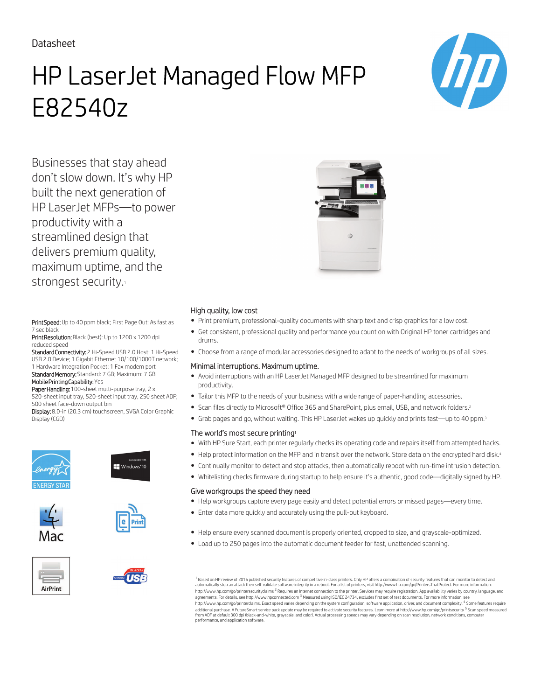### Datasheet

# HP LaserJet Managed Flow MFP E82540z



Businesses that stay ahead don't slow down. It's why HP built the next generation of HP LaserJet MFPs—to power productivity with a streamlined design that delivers premium quality, maximum uptime, and the strongest security.

Print Speed: Up to 40 ppm black; First Page Out: As fast as 7 sec black

Print Resolution: Black (best): Up to 1200 x 1200 dpi reduced speed

Standard Connectivity: 2 Hi-Speed USB 2.0 Host; 1 Hi-Speed USB 2.0 Device; 1 Gigabit Ethernet 10/100/1000T network; 1 Hardware Integration Pocket; 1 Fax modem port Standard Memory: Standard: 7 GB; Maximum: 7 GB

Mobile Printing Capability: Yes

Paper Handling: 100-sheet multi-purpose tray, 2 x 520-sheet input tray, 520-sheet input tray, 250 sheet ADF; 500 sheet face-down output bin

Display: 8.0-in (20.3 cm) touchscreen, SVGA Color Graphic Display (CGD)















### High quality, low cost

- Print premium, professional-quality documents with sharp text and crisp graphics for a low cost.
- Get consistent, professional quality and performance you count on with Original HP toner cartridges and drums.
- Choose from a range of modular accessories designed to adapt to the needs of workgroups of all sizes.

### Minimal interruptions. Maximum uptime.

- Avoid interruptions with an HP LaserJet Managed MFP designed to be streamlined for maximum productivity.
- Tailor this MFP to the needs of your business with a wide range of paper-handling accessories.
- Scan files directly to Microsoft® Office 365 and SharePoint, plus email, USB, and network folders.<sup>2</sup>
- Grab pages and go, without waiting. This HP LaserJet wakes up quickly and prints fast—up to 40 ppm.<sup>3</sup>

### The world's most secure printing<sup>1</sup>

- With HP Sure Start, each printer regularly checks its operating code and repairs itself from attempted hacks.
- Help protect information on the MFP and in transit over the network. Store data on the encrypted hard disk.<sup>4</sup>
- Continually monitor to detect and stop attacks, then automatically reboot with run-time intrusion detection.
- Whitelisting checks firmware during startup to help ensure it's authentic, good code—digitally signed by HP.

### Give workgroups the speed they need

- Help workgroups capture every page easily and detect potential errors or missed pages—every time.
- Enter data more quickly and accurately using the pull-out keyboard.
- Help ensure every scanned document is properly oriented, cropped to size, and grayscale-optimized.
- Load up to 250 pages into the automatic document feeder for fast, unattended scanning.

 $^{\rm 1}$  Based on HP review of 2016 published security features of competitive in-class printers. Only HP offers a combination of security features that can monitor to detect and automatically stop an attack then self-validate software integrity in a reboot. For a list of printers, visit http://www.hp.com/go/PrintersThatProtect. For more information:<br>http://www.hp.com/go/printersecurityclaims <sup>2</sup> R agreements. For details, see http://www.hpconnected.com <sup>3</sup> Measured using ISO/IEC 24734, excludes first set of test documents. For more information, see http://www.hp.com/go/printerclaims. Exact speed varies depending on the system configuration, software application, driver, and document complexity. <sup>4</sup> Some features require<br>additional purchase. A FutureSmart service pack from ADF at default 300 dpi (black-and-white, grayscale, and color). Actual processing speeds may vary depending on scan resolution, network conditions, computer performance, and application software.